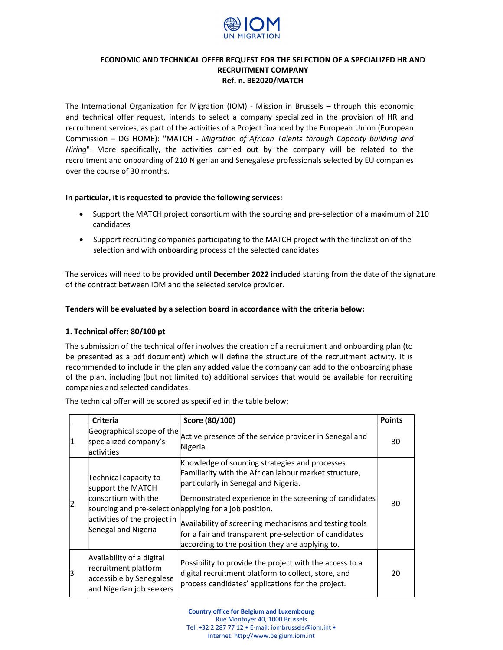

# ECONOMIC AND TECHNICAL OFFER REQUEST FOR THE SELECTION OF A SPECIALIZED HR AND RECRUITMENT COMPANY Ref. n. BE2020/MATCH

The International Organization for Migration (IOM) - Mission in Brussels – through this economic and technical offer request, intends to select a company specialized in the provision of HR and recruitment services, as part of the activities of a Project financed by the European Union (European Commission – DG HOME): "MATCH - Migration of African Talents through Capacity building and Hiring". More specifically, the activities carried out by the company will be related to the recruitment and onboarding of 210 Nigerian and Senegalese professionals selected by EU companies over the course of 30 months.

### In particular, it is requested to provide the following services:

- Support the MATCH project consortium with the sourcing and pre-selection of a maximum of 210 candidates
- Support recruiting companies participating to the MATCH project with the finalization of the selection and with onboarding process of the selected candidates

The services will need to be provided until December 2022 included starting from the date of the signature of the contract between IOM and the selected service provider.

## Tenders will be evaluated by a selection board in accordance with the criteria below:

### 1. Technical offer: 80/100 pt

The submission of the technical offer involves the creation of a recruitment and onboarding plan (to be presented as a pdf document) which will define the structure of the recruitment activity. It is recommended to include in the plan any added value the company can add to the onboarding phase of the plan, including (but not limited to) additional services that would be available for recruiting companies and selected candidates.

|   | <b>Criteria</b>                                                                                                          | Score (80/100)                                                                                                                                                                                                                                                                                                                                                                                                                               | <b>Points</b> |
|---|--------------------------------------------------------------------------------------------------------------------------|----------------------------------------------------------------------------------------------------------------------------------------------------------------------------------------------------------------------------------------------------------------------------------------------------------------------------------------------------------------------------------------------------------------------------------------------|---------------|
| 1 | Geographical scope of the<br>specialized company's<br><b>lactivities</b>                                                 | Active presence of the service provider in Senegal and<br>Nigeria.                                                                                                                                                                                                                                                                                                                                                                           | 30            |
|   | Technical capacity to<br>support the MATCH<br>consortium with the<br>activities of the project in<br>Senegal and Nigeria | Knowledge of sourcing strategies and processes.<br>Familiarity with the African labour market structure,<br>particularly in Senegal and Nigeria.<br>Demonstrated experience in the screening of candidates<br>sourcing and pre-selection applying for a job position.<br>Availability of screening mechanisms and testing tools<br>for a fair and transparent pre-selection of candidates<br>according to the position they are applying to. | 30            |
| Β | Availability of a digital<br>recruitment platform<br>accessible by Senegalese<br>and Nigerian job seekers                | Possibility to provide the project with the access to a<br>digital recruitment platform to collect, store, and<br>process candidates' applications for the project.                                                                                                                                                                                                                                                                          | 20            |

The technical offer will be scored as specified in the table below: